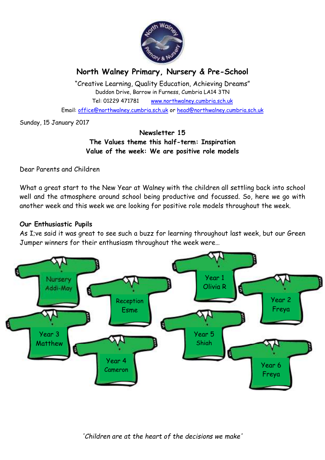

# **North Walney Primary, Nursery & Pre-School**

"Creative Learning, Quality Education, Achieving Dreams" Duddon Drive, Barrow in Furness, Cumbria LA14 3TN Tel: 01229 471781 www.northwalney.cumbria.sch.uk Email: office@northwalney.cumbria.sch.uk or head@northwalney.cumbria.sch.uk

Sunday, 15 January 2017

### **Newsletter 15 The Values theme this half-term: Inspiration Value of the week: We are positive role models**

Dear Parents and Children

What a great start to the New Year at Walney with the children all settling back into school well and the atmosphere around school being productive and focussed. So, here we go with another week and this week we are looking for positive role models throughout the week.

### **Our Enthusiastic Pupils**

As I;ve said it was great to see such a buzz for learning throughout last week, but our Green Jumper winners for their enthusiasm throughout the week were…

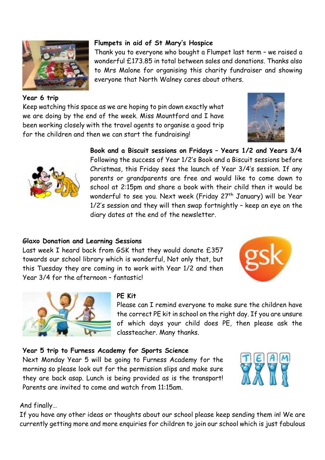

### **Year 6 trip**

### Keep watching this space as we are hoping to pin down exactly what we are doing by the end of the week. Miss Mountford and I have been working closely with the travel agents to organise a good trip for the children and then we can start the fundraising!

**Flumpets in aid of St Mary's Hospice**

everyone that North Walney cares about others.





# **Book and a Biscuit sessions on Fridays – Years 1/2 and Years 3/4**

Thank you to everyone who bought a Flumpet last term – we raised a wonderful £173.85 in total between sales and donations. Thanks also to Mrs Malone for organising this charity fundraiser and showing

Following the success of Year 1/2's Book and a Biscuit sessions before Christmas, this Friday sees the launch of Year 3/4's session. If any parents or grandparents are free and would like to come down to school at 2:15pm and share a book with their child then it would be wonderful to see you. Next week (Friday 27<sup>th</sup> January) will be Year 1/2's session and they will then swap fortnightly – keep an eye on the diary dates at the end of the newsletter.

# **Glaxo Donation and Learning Sessions**

Last week I heard back from GSK that they would donate £357 towards our school library which is wonderful, Not only that, but this Tuesday they are coming in to work with Year 1/2 and then Year 3/4 for the afternoon – fantastic!





# **PE Kit**

Please can I remind everyone to make sure the children have the correct PE kit in school on the right day. If you are unsure of which days your child does PE, then please ask the classteacher. Many thanks.

### **Year 5 trip to Furness Academy for Sports Science**

Next Monday Year 5 will be going to Furness Academy for the morning so please look out for the permission slips and make sure they are back asap. Lunch is being provided as is the transport! Parents are invited to come and watch from 11:15am.



### And finally…

If you have any other ideas or thoughts about our school please keep sending them in! We are currently getting more and more enquiries for children to join our school which is just fabulous